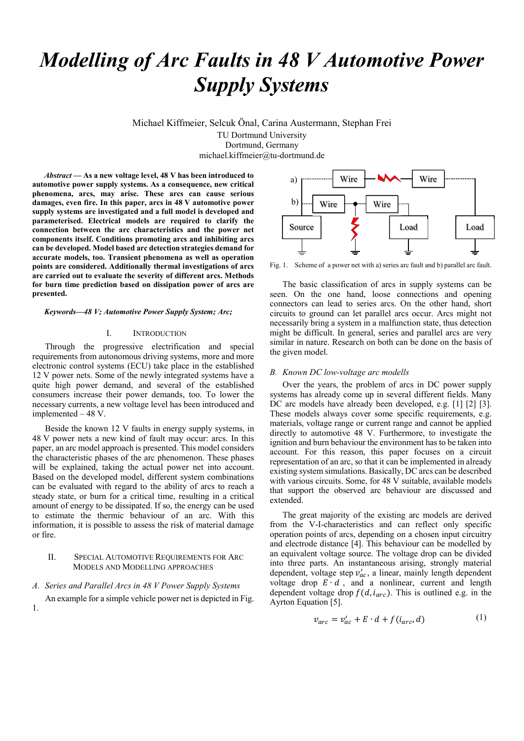# *Modelling of Arc Faults in 48 V Automotive Power Supply Systems*

Michael Kiffmeier, Selcuk Önal, Carina Austermann, Stephan Frei TU Dortmund University Dortmund, Germany michael.kiffmeier@tu-dortmund.de

*Abstract* **— As a new voltage level, 48 V has been introduced to automotive power supply systems. As a consequence, new critical phenomena, arcs, may arise. These arcs can cause serious damages, even fire. In this paper, arcs in 48 V automotive power supply systems are investigated and a full model is developed and parameterised. Electrical models are required to clarify the connection between the arc characteristics and the power net components itself. Conditions promoting arcs and inhibiting arcs can be developed. Model based arc detection strategies demand for accurate models, too. Transient phenomena as well as operation points are considered. Additionally thermal investigations of arcs are carried out to evaluate the severity of different arcs. Methods for burn time prediction based on dissipation power of arcs are presented.** 

*Keywords—48 V; Automotive Power Supply System; Arc;* 

## I. INTRODUCTION

Through the progressive electrification and special requirements from autonomous driving systems, more and more electronic control systems (ECU) take place in the established 12 V power nets. Some of the newly integrated systems have a quite high power demand, and several of the established consumers increase their power demands, too. To lower the necessary currents, a new voltage level has been introduced and implemented – 48 V.

Beside the known 12 V faults in energy supply systems, in 48 V power nets a new kind of fault may occur: arcs. In this paper, an arc model approach is presented. This model considers the characteristic phases of the arc phenomenon. These phases will be explained, taking the actual power net into account. Based on the developed model, different system combinations can be evaluated with regard to the ability of arcs to reach a steady state, or burn for a critical time, resulting in a critical amount of energy to be dissipated. If so, the energy can be used to estimate the thermic behaviour of an arc. With this information, it is possible to assess the risk of material damage or fire.

# II. SPECIAL AUTOMOTIVE REQUIREMENTS FOR ARC MODELS AND MODELLING APPROACHES

*A. Series and Parallel Arcs in 48 V Power Supply Systems* 

An example for a simple vehicle power net is depicted in Fig. 1.



Fig. 1. Scheme of a power net with a) series arc fault and b) parallel arc fault.

The basic classification of arcs in supply systems can be seen. On the one hand, loose connections and opening connectors can lead to series arcs. On the other hand, short circuits to ground can let parallel arcs occur. Arcs might not necessarily bring a system in a malfunction state, thus detection might be difficult. In general, series and parallel arcs are very similar in nature. Research on both can be done on the basis of the given model.

#### *B. Known DC low-voltage arc modells*

Over the years, the problem of arcs in DC power supply systems has already come up in several different fields. Many DC arc models have already been developed, e.g. [1] [2] [3]. These models always cover some specific requirements, e.g. materials, voltage range or current range and cannot be applied directly to automotive 48 V. Furthermore, to investigate the ignition and burn behaviour the environment has to be taken into account. For this reason, this paper focuses on a circuit representation of an arc, so that it can be implemented in already existing system simulations. Basically, DC arcs can be described with various circuits. Some, for 48 V suitable, available models that support the observed arc behaviour are discussed and extended.

The great majority of the existing arc models are derived from the V-I-characteristics and can reflect only specific operation points of arcs, depending on a chosen input circuitry and electrode distance [4]. This behaviour can be modelled by an equivalent voltage source. The voltage drop can be divided into three parts. An instantaneous arising, strongly material dependent, voltage step  $v'_{ac}$ , a linear, mainly length dependent voltage drop  $E \cdot d$ , and a nonlinear, current and length dependent voltage drop  $f(d, i_{arc})$ . This is outlined e.g. in the Ayrton Equation [5].

$$
v_{arc} = v'_{ac} + E \cdot d + f(i_{arc}, d)
$$
 (1)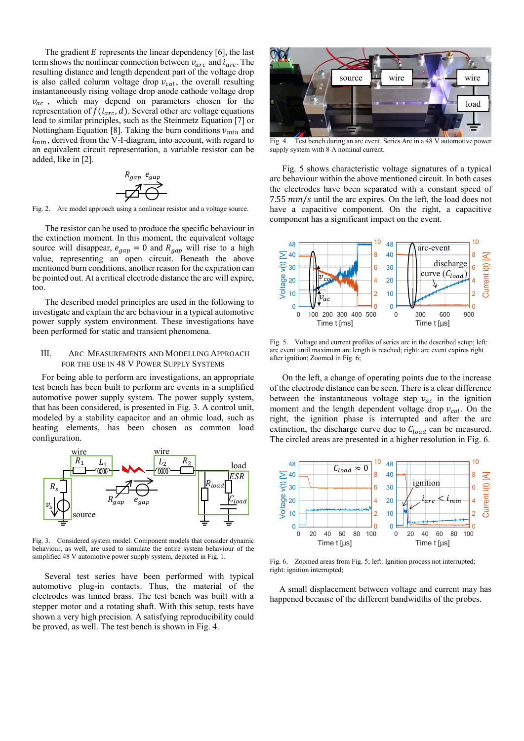The gradient  $E$  represents the linear dependency [6], the last term shows the nonlinear connection between  $v_{arc}$  and  $i_{arc}$ . The resulting distance and length dependent part of the voltage drop is also called column voltage drop  $v_{col}$ , the overall resulting instantaneously rising voltage drop anode cathode voltage drop  $v_{ac}$ , which may depend on parameters chosen for the representation of  $f(i_{arc}, d)$ . Several other arc voltage equations lead to similar principles, such as the Steinmetz Equation [7] or Nottingham Equation [8]. Taking the burn conditions  $v_{min}$  and  $i_{min}$ , derived from the V-I-diagram, into account, with regard to an equivalent circuit representation, a variable resistor can be added, like in [2].

$$
\overbrace{A}^{R_{gap}} \overbrace{}
$$

Fig. 2. Arc model approach using a nonlinear resistor and a voltage source.

The resistor can be used to produce the specific behaviour in the extinction moment. In this moment, the equivalent voltage source will disappear,  $e_{gap} = 0$  and  $R_{gap}$  will rise to a high value, representing an open circuit. Beneath the above mentioned burn conditions, another reason for the expiration can be pointed out. At a critical electrode distance the arc will expire, too.

The described model principles are used in the following to investigate and explain the arc behaviour in a typical automotive power supply system environment. These investigations have been performed for static and transient phenomena.

#### III. ARC MEASUREMENTS AND MODELLING APPROACH FOR THE USE IN 48 V POWER SUPPLY SYSTEMS

For being able to perform arc investigations, an appropriate test bench has been built to perform arc events in a simplified automotive power supply system. The power supply system, that has been considered, is presented in Fig. 3. A control unit, modeled by a stability capacitor and an ohmic load, such as heating elements, has been chosen as common load configuration.



Fig. 3. Considered system model. Component models that consider dynamic behaviour, as well, are used to simulate the entire system behaviour of the simplified 48 V automotive power supply system, depicted in Fig. 1.

Several test series have been performed with typical automotive plug-in contacts. Thus, the material of the electrodes was tinned brass. The test bench was built with a stepper motor and a rotating shaft. With this setup, tests have shown a very high precision. A satisfying reproducibility could be proved, as well. The test bench is shown in Fig. 4.



Fig. 4. Test bench during an arc event. Series Arc in a 48 V automotive power supply system with 8 A nominal current.

 Fig. 5 shows characteristic voltage signatures of a typical arc behaviour within the above mentioned circuit. In both cases the electrodes have been separated with a constant speed of 7.55  $mm/s$  until the arc expires. On the left, the load does not have a capacitive component. On the right, a capacitive component has a significant impact on the event.



Fig. 5. Voltage and current profiles of series arc in the described setup; left: arc event until maximum arc length is reached; right: arc event expires right after ignition; Zoomed in Fig. 6;

 On the left, a change of operating points due to the increase of the electrode distance can be seen. There is a clear difference between the instantaneous voltage step  $v_{ac}$  in the ignition moment and the length dependent voltage drop  $v_{col}$ . On the right, the ignition phase is interrupted and after the arc extinction, the discharge curve due to  $C_{load}$  can be measured. The circled areas are presented in a higher resolution in Fig. 6.



Fig. 6. Zoomed areas from Fig. 5; left: Ignition process not interrupted; right: ignition interrupted;

A small displacement between voltage and current may has happened because of the different bandwidths of the probes.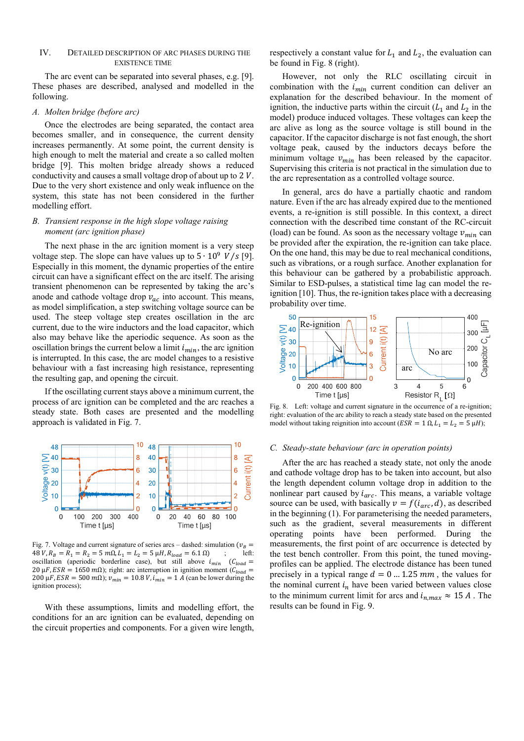## IV. DETAILED DESCRIPTION OF ARC PHASES DURING THE EXISTENCE TIME

 The arc event can be separated into several phases, e.g. [9]. These phases are described, analysed and modelled in the following.

## *A. Molten bridge (before arc)*

 Once the electrodes are being separated, the contact area becomes smaller, and in consequence, the current density increases permanently. At some point, the current density is high enough to melt the material and create a so called molten bridge [9]. This molten bridge already shows a reduced conductivity and causes a small voltage drop of about up to 2 V. Due to the very short existence and only weak influence on the system, this state has not been considered in the further modelling effort.

## *B. Transient response in the high slope voltage raising moment (arc ignition phase)*

 The next phase in the arc ignition moment is a very steep voltage step. The slope can have values up to  $5 \cdot 10^9$  *V*/s [9]. Especially in this moment, the dynamic properties of the entire circuit can have a significant effect on the arc itself. The arising transient phenomenon can be represented by taking the arc's anode and cathode voltage drop  $v_{ac}$  into account. This means, as model simplification, a step switching voltage source can be used. The steep voltage step creates oscillation in the arc current, due to the wire inductors and the load capacitor, which also may behave like the aperiodic sequence. As soon as the oscillation brings the current below a limit  $i_{min}$ , the arc ignition is interrupted. In this case, the arc model changes to a resistive behaviour with a fast increasing high resistance, representing the resulting gap, and opening the circuit.

 If the oscillating current stays above a minimum current, the process of arc ignition can be completed and the arc reaches a steady state. Both cases are presented and the modelling approach is validated in Fig. 7.



Fig. 7. Voltage and current signature of series arcs – dashed: simulation ( $v_B =$  $48 \, V, R_B = R_1 = R_2 = 5 \, m\Omega, L_1 = L_2 = 5 \, \mu H, R_{load} = 6.1 \, \Omega)$  ; left: oscillation (aperiodic borderline case), but still above  $i_{min}$  ( $C_{load}$  = 20 μF,  $ESR = 1650$  mΩ); right: arc interruption in ignition moment ( $C_{load}$  = 200  $\mu$ F, ESR = 500 mΩ);  $v_{min} = 10.8$  V,  $i_{min} = 1$  A (can be lower during the ignition process);

 With these assumptions, limits and modelling effort, the conditions for an arc ignition can be evaluated, depending on the circuit properties and components. For a given wire length, respectively a constant value for  $L_1$  and  $L_2$ , the evaluation can be found in Fig. 8 (right).

 However, not only the RLC oscillating circuit in combination with the  $i_{min}$  current condition can deliver an explanation for the described behaviour. In the moment of ignition, the inductive parts within the circuit  $(L_1 \text{ and } L_2 \text{ in the})$ model) produce induced voltages. These voltages can keep the arc alive as long as the source voltage is still bound in the capacitor. If the capacitor discharge is not fast enough, the short voltage peak, caused by the inductors decays before the minimum voltage  $v_{min}$  has been released by the capacitor. Supervising this criteria is not practical in the simulation due to the arc representation as a controlled voltage source.

 In general, arcs do have a partially chaotic and random nature. Even if the arc has already expired due to the mentioned events, a re-ignition is still possible. In this context, a direct connection with the described time constant of the RC-circuit (load) can be found. As soon as the necessary voltage  $v_{min}$  can be provided after the expiration, the re-ignition can take place. On the one hand, this may be due to real mechanical conditions, such as vibrations, or a rough surface. Another explanation for this behaviour can be gathered by a probabilistic approach. Similar to ESD-pulses, a statistical time lag can model the reignition [10]. Thus, the re-ignition takes place with a decreasing probability over time.



Fig. 8. Left: voltage and current signature in the occurrence of a re-ignition; right: evaluation of the arc ability to reach a steady state based on the presented model without taking reignition into account ( $ESR = 1 \Omega$ ,  $L_1 = L_2 = 5 \mu H$ );

#### *C. Steady-state behaviour (arc in operation points)*

 After the arc has reached a steady state, not only the anode and cathode voltage drop has to be taken into account, but also the length dependent column voltage drop in addition to the nonlinear part caused by  $i_{arc}$ . This means, a variable voltage source can be used, with basically  $v = f(i_{arc}, d)$ , as described in the beginning (1). For parameterising the needed parameters, such as the gradient, several measurements in different operating points have been performed. During the measurements, the first point of arc occurrence is detected by the test bench controller. From this point, the tuned movingprofiles can be applied. The electrode distance has been tuned precisely in a typical range  $d = 0$  ... 1.25 mm, the values for the nominal current  $i_n$  have been varied between values close to the minimum current limit for arcs and  $i_{n,max} \approx 15 \text{ A}$ . The results can be found in Fig. 9.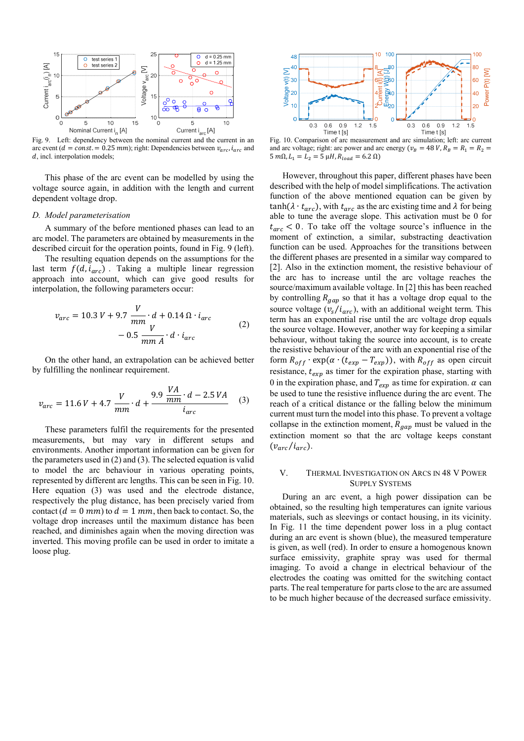

Fig. 9. Left: dependency between the nominal current and the current in an arc event ( $d = const. = 0.25$  mm); right: Dependencies between  $v_{arc}$ ,  $i_{arc}$  and d, incl. interpolation models;

 This phase of the arc event can be modelled by using the voltage source again, in addition with the length and current dependent voltage drop.

## *D. Model parameterisation*

A summary of the before mentioned phases can lead to an arc model. The parameters are obtained by measurements in the described circuit for the operation points, found in Fig. 9 (left).

The resulting equation depends on the assumptions for the last term  $f(d, i_{arc})$ . Taking a multiple linear regression approach into account, which can give good results for interpolation, the following parameters occur:

$$
v_{arc} = 10.3 V + 9.7 \frac{V}{mm} \cdot d + 0.14 \Omega \cdot i_{arc}
$$

$$
- 0.5 \frac{V}{mm} \cdot d \cdot i_{arc}
$$
 (2)

On the other hand, an extrapolation can be achieved better by fulfilling the nonlinear requirement.

$$
v_{arc} = 11.6 V + 4.7 \frac{V}{mm} \cdot d + \frac{9.9 \frac{VA}{mm} \cdot d - 2.5 VA}{i_{arc}} \quad (3)
$$

These parameters fulfil the requirements for the presented measurements, but may vary in different setups and environments. Another important information can be given for the parameters used in (2) and (3). The selected equation is valid to model the arc behaviour in various operating points, represented by different arc lengths. This can be seen in Fig. 10. Here equation (3) was used and the electrode distance, respectively the plug distance, has been precisely varied from contact  $(d = 0 \, mm)$  to  $d = 1 \, mm$ , then back to contact. So, the voltage drop increases until the maximum distance has been reached, and diminishes again when the moving direction was inverted. This moving profile can be used in order to imitate a loose plug.



Fig. 10. Comparison of arc measurement and arc simulation; left: arc current and arc voltage; right: arc power and arc energy ( $v_B = 48$  V,  $R_B = R_1 = R_2 =$  $5 m\Omega$ ,  $L_1 = L_2 = 5 \mu H$ ,  $R_{load} = 6.2 \Omega$ )

However, throughout this paper, different phases have been described with the help of model simplifications. The activation function of the above mentioned equation can be given by  $tanh(\lambda \cdot t_{arc})$ , with  $t_{arc}$  as the arc existing time and  $\lambda$  for being able to tune the average slope. This activation must be 0 for  $t_{arc}$  < 0. To take off the voltage source's influence in the moment of extinction, a similar, substracting deactivation function can be used. Approaches for the transitions between the different phases are presented in a similar way compared to [2]. Also in the extinction moment, the resistive behaviour of the arc has to increase until the arc voltage reaches the source/maximum available voltage. In [2] this has been reached by controlling  $R_{gap}$  so that it has a voltage drop equal to the source voltage ( $v_s/i_{arc}$ ), with an additional weight term. This term has an exponential rise until the arc voltage drop equals the source voltage. However, another way for keeping a similar behaviour, without taking the source into account, is to create the resistive behaviour of the arc with an exponential rise of the form  $R_{off} \cdot \exp(\alpha \cdot (t_{exp} - T_{exp}))$ , with  $R_{off}$  as open circuit resistance,  $t_{exp}$  as timer for the expiration phase, starting with 0 in the expiration phase, and  $T_{exp}$  as time for expiration.  $\alpha$  can be used to tune the resistive influence during the arc event. The reach of a critical distance or the falling below the minimum current must turn the model into this phase. To prevent a voltage collapse in the extinction moment,  $R_{gap}$  must be valued in the extinction moment so that the arc voltage keeps constant  $(v_{arc}/i_{arc})$ .

## V. THERMAL INVESTIGATION ON ARCS IN 48 V POWER SUPPLY SYSTEMS

 During an arc event, a high power dissipation can be obtained, so the resulting high temperatures can ignite various materials, such as sleevings or contact housing, in its vicinity. In Fig. 11 the time dependent power loss in a plug contact during an arc event is shown (blue), the measured temperature is given, as well (red). In order to ensure a homogenous known surface emissivity, graphite spray was used for thermal imaging. To avoid a change in electrical behaviour of the electrodes the coating was omitted for the switching contact parts. The real temperature for parts close to the arc are assumed to be much higher because of the decreased surface emissivity.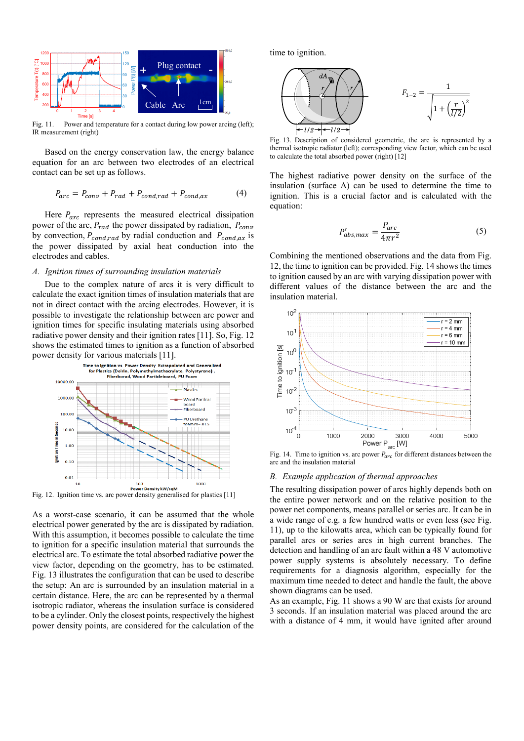

Fig. 11. Power and temperature for a contact during low power arcing (left); IR measurement (right)

 Based on the energy conservation law, the energy balance equation for an arc between two electrodes of an electrical contact can be set up as follows.

$$
P_{arc} = P_{conv} + P_{rad} + P_{cond, rad} + P_{cond, ax}
$$
 (4)

Here  $P_{arc}$  represents the measured electrical dissipation power of the arc,  $P_{rad}$  the power dissipated by radiation,  $P_{conv}$ by convection,  $P_{cond,rad}$  by radial conduction and  $P_{cond,ax}$  is the power dissipated by axial heat conduction into the electrodes and cables.

## *A. Ignition times of surrounding insulation materials*

 Due to the complex nature of arcs it is very difficult to calculate the exact ignition times of insulation materials that are not in direct contact with the arcing electrodes. However, it is possible to investigate the relationship between arc power and ignition times for specific insulating materials using absorbed radiative power density and their ignition rates [11]. So, Fig. 12 shows the estimated times to ignition as a function of absorbed



As a worst-case scenario, it can be assumed that the whole electrical power generated by the arc is dissipated by radiation. With this assumption, it becomes possible to calculate the time to ignition for a specific insulation material that surrounds the electrical arc. To estimate the total absorbed radiative power the view factor, depending on the geometry, has to be estimated. Fig. 13 illustrates the configuration that can be used to describe the setup: An arc is surrounded by an insulation material in a certain distance. Here, the arc can be represented by a thermal isotropic radiator, whereas the insulation surface is considered to be a cylinder. Only the closest points, respectively the highest power density points, are considered for the calculation of the

time to ignition.



Fig. 13. Description of considered geometrie, the arc is represented by a thermal isotropic radiator (left); corresponding view factor, which can be used to calculate the total absorbed power (right) [12]

The highest radiative power density on the surface of the insulation (surface A) can be used to determine the time to ignition. This is a crucial factor and is calculated with the equation:

$$
P'_{abs,max} = \frac{P_{arc}}{4\pi r^2} \tag{5}
$$

Combining the mentioned observations and the data from Fig. 12, the time to ignition can be provided. Fig. 14 shows the times to ignition caused by an arc with varying dissipation power with different values of the distance between the arc and the insulation material.



Fig. 14. Time to ignition vs. arc power  $P_{arc}$  for different distances between the arc and the insulation material

#### *B. Example application of thermal approaches*

The resulting dissipation power of arcs highly depends both on the entire power network and on the relative position to the power net components, means parallel or series arc. It can be in a wide range of e.g. a few hundred watts or even less (see Fig. 11), up to the kilowatts area, which can be typically found for parallel arcs or series arcs in high current branches. The detection and handling of an arc fault within a 48 V automotive power supply systems is absolutely necessary. To define requirements for a diagnosis algorithm, especially for the maximum time needed to detect and handle the fault, the above shown diagrams can be used.

As an example, Fig. 11 shows a 90 W arc that exists for around 3 seconds. If an insulation material was placed around the arc with a distance of 4 mm, it would have ignited after around